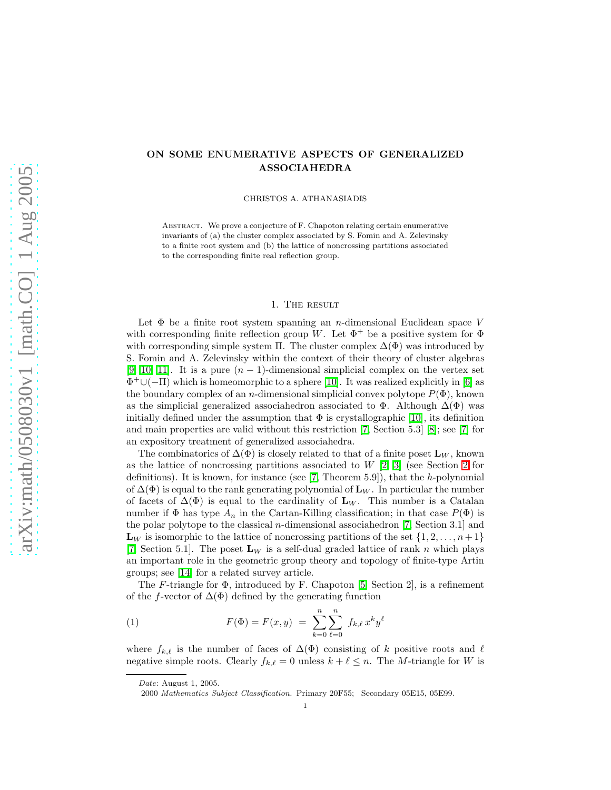# ON SOME ENUMERATIVE ASPECTS OF GENERALIZED ASSOCIAHEDRA

CHRISTOS A. ATHANASIADIS

ABSTRACT. We prove a conjecture of F. Chapoton relating certain enumerative invariants of (a) the cluster complex associated by S. Fomin and A. Zelevinsky to a finite root system and (b) the lattice of noncrossing partitions associated to the corresponding finite real reflection group.

#### 1. The result

Let  $\Phi$  be a finite root system spanning an *n*-dimensional Euclidean space V with corresponding finite reflection group W. Let  $\Phi^+$  be a positive system for  $\Phi$ with corresponding simple system Π. The cluster complex  $\Delta(\Phi)$  was introduced by S. Fomin and A. Zelevinsky within the context of their theory of cluster algebras [\[9,](#page-6-0) [10,](#page-6-1) [11\]](#page-6-2). It is a pure  $(n-1)$ -dimensional simplicial complex on the vertex set Φ <sup>+</sup>∪(−Π) which is homeomorphic to a sphere [\[10\]](#page-6-1). It was realized explicitly in [\[6\]](#page-6-3) as the boundary complex of an n-dimensional simplicial convex polytope  $P(\Phi)$ , known as the simplicial generalized associahedron associated to  $\Phi$ . Although  $\Delta(\Phi)$  was initially defined under the assumption that  $\Phi$  is crystallographic [\[10\]](#page-6-1), its definition and main properties are valid without this restriction [\[7,](#page-6-4) Section 5.3] [\[8\]](#page-6-5); see [\[7\]](#page-6-4) for an expository treatment of generalized associahedra.

The combinatorics of  $\Delta(\Phi)$  is closely related to that of a finite poset  $\mathbf{L}_W$ , known as the lattice of noncrossing partitions associated to  $W(2, 3)$  (see Section [2](#page-1-0) for definitions). It is known, for instance (see [\[7,](#page-6-4) Theorem 5.9]), that the h-polynomial of  $\Delta(\Phi)$  is equal to the rank generating polynomial of  $\mathbf{L}_W$ . In particular the number of facets of  $\Delta(\Phi)$  is equal to the cardinality of  $\mathbf{L}_W$ . This number is a Catalan number if  $\Phi$  has type  $A_n$  in the Cartan-Killing classification; in that case  $P(\Phi)$  is the polar polytope to the classical n-dimensional associahedron [\[7,](#page-6-4) Section 3.1] and  $\mathbf{L}_W$  is isomorphic to the lattice of noncrossing partitions of the set  $\{1, 2, \ldots, n+1\}$ [\[7,](#page-6-4) Section 5.1]. The poset  $L_W$  is a self-dual graded lattice of rank n which plays an important role in the geometric group theory and topology of finite-type Artin groups; see [\[14\]](#page-6-8) for a related survey article.

<span id="page-0-0"></span>The F-triangle for  $\Phi$ , introduced by F. Chapoton [\[5,](#page-6-9) Section 2], is a refinement of the f-vector of  $\Delta(\Phi)$  defined by the generating function

(1) 
$$
F(\Phi) = F(x, y) = \sum_{k=0}^{n} \sum_{\ell=0}^{n} f_{k,\ell} x^{k} y^{\ell}
$$

where  $f_{k,\ell}$  is the number of faces of  $\Delta(\Phi)$  consisting of k positive roots and  $\ell$ negative simple roots. Clearly  $f_{k,\ell} = 0$  unless  $k + \ell \leq n$ . The M-triangle for W is

*Date*: August 1, 2005.

<sup>2000</sup> *Mathematics Subject Classification.* Primary 20F55; Secondary 05E15, 05E99.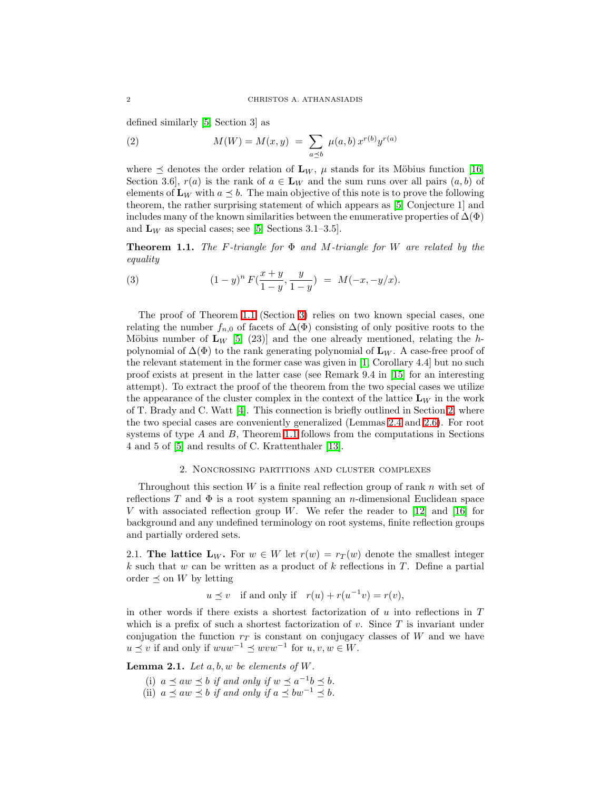<span id="page-1-2"></span>defined similarly [\[5,](#page-6-9) Section 3] as

(2) 
$$
M(W) = M(x, y) = \sum_{a \preceq b} \mu(a, b) x^{r(b)} y^{r(a)}
$$

where  $\preceq$  denotes the order relation of  $\mathbf{L}_W$ ,  $\mu$  stands for its Möbius function [\[16,](#page-7-0) Section 3.6,  $r(a)$  is the rank of  $a \in L_W$  and the sum runs over all pairs  $(a, b)$  of elements of  $\mathbf{L}_W$  with  $a \preceq b$ . The main objective of this note is to prove the following theorem, the rather surprising statement of which appears as [\[5,](#page-6-9) Conjecture 1] and includes many of the known similarities between the enumerative properties of  $\Delta(\Phi)$ and  $L_W$  as special cases; see [\[5,](#page-6-9) Sections 3.1–3.5].

<span id="page-1-1"></span>**Theorem 1.1.** The F-triangle for  $\Phi$  and M-triangle for W are related by the equality

(3) 
$$
(1-y)^n F(\frac{x+y}{1-y}, \frac{y}{1-y}) = M(-x, -y/x).
$$

The proof of Theorem [1.1](#page-1-1) (Section [3\)](#page-5-0) relies on two known special cases, one relating the number  $f_{n,0}$  of facets of  $\Delta(\Phi)$  consisting of only positive roots to the Möbius number of  $\mathbf{L}_W$  [\[5,](#page-6-9) (23)] and the one already mentioned, relating the hpolynomial of  $\Delta(\Phi)$  to the rank generating polynomial of  $\mathbf{L}_W$ . A case-free proof of the relevant statement in the former case was given in [\[1,](#page-6-10) Corollary 4.4] but no such proof exists at present in the latter case (see Remark 9.4 in [\[15\]](#page-7-1) for an interesting attempt). To extract the proof of the theorem from the two special cases we utilize the appearance of the cluster complex in the context of the lattice  $\mathbf{L}_W$  in the work of T. Brady and C. Watt [\[4\]](#page-6-11). This connection is briefly outlined in Section [2,](#page-1-0) where the two special cases are conveniently generalized (Lemmas [2.4](#page-3-0) and [2.6\)](#page-4-0). For root systems of type  $A$  and  $B$ , Theorem [1.1](#page-1-1) follows from the computations in Sections 4 and 5 of [\[5\]](#page-6-9) and results of C. Krattenthaler [\[13\]](#page-6-12).

### 2. Noncrossing partitions and cluster complexes

<span id="page-1-0"></span>Throughout this section W is a finite real reflection group of rank n with set of reflections T and  $\Phi$  is a root system spanning an n-dimensional Euclidean space V with associated reflection group W. We refer the reader to  $[12]$  and  $[16]$  for background and any undefined terminology on root systems, finite reflection groups and partially ordered sets.

2.1. The lattice  $L_W$ . For  $w \in W$  let  $r(w) = r_T(w)$  denote the smallest integer k such that w can be written as a product of k reflections in T. Define a partial order  $\preceq$  on W by letting

 $u \preceq v$  if and only if  $r(u) + r(u^{-1}v) = r(v)$ ,

in other words if there exists a shortest factorization of  $u$  into reflections in  $T$ which is a prefix of such a shortest factorization of  $v$ . Since  $T$  is invariant under conjugation the function  $r<sub>T</sub>$  is constant on conjugacy classes of W and we have  $u \preceq v$  if and only if  $wuw^{-1} \preceq wvw^{-1}$  for  $u, v, w \in W$ .

<span id="page-1-3"></span>**Lemma 2.1.** Let  $a, b, w$  be elements of W.

- (i)  $a \preceq aw \preceq b$  if and only if  $w \preceq a^{-1}b \preceq b$ .
- (ii)  $a \preceq aw \preceq b$  if and only if  $a \preceq bw^{-1} \preceq b$ .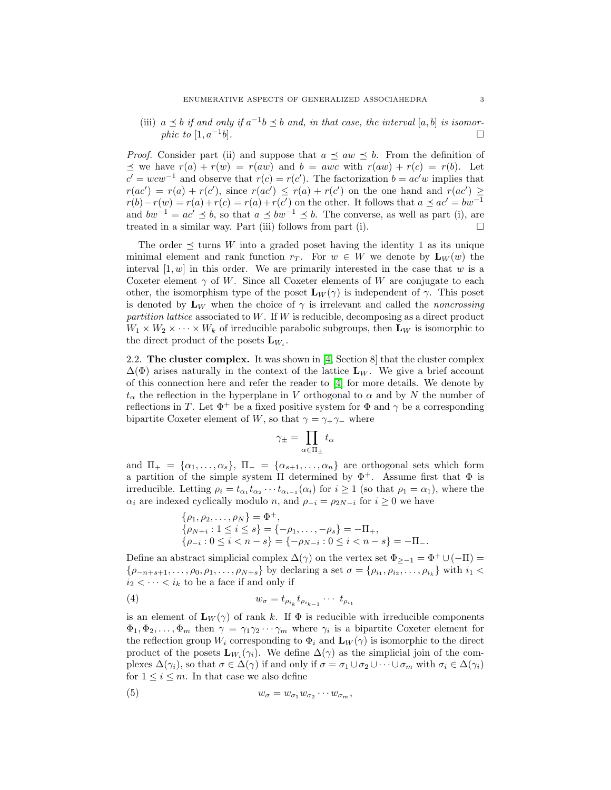(iii)  $a \preceq b$  if and only if  $a^{-1}b \preceq b$  and, in that case, the interval  $[a, b]$  is isomor*phic to*  $[1, a^{-1}b]$ .  $\Box$ 

*Proof.* Consider part (ii) and suppose that  $a \preceq aw \preceq b$ . From the definition of  $\preceq$  we have  $r(a) + r(w) = r(aw)$  and  $b = awc$  with  $r(aw) + r(c) = r(b)$ . Let  $c' = wcw^{-1}$  and observe that  $r(c) = r(c')$ . The factorization  $b = ac'w$  implies that  $r(ac') = r(a) + r(c')$ , since  $r(ac') \leq r(a) + r(c')$  on the one hand and  $r(ac') \geq$  $r(b) - r(w) = r(a) + r(c) = r(a) + r(c')$  on the other. It follows that  $a \preceq ac' = bw^{-1}$ and  $bw^{-1} = ac' \leq b$ , so that  $a \leq bw^{-1} \leq b$ . The converse, as well as part (i), are treated in a similar way. Part (iii) follows from part (i).

The order  $\preceq$  turns W into a graded poset having the identity 1 as its unique minimal element and rank function  $r_T$ . For  $w \in W$  we denote by  $\mathbf{L}_W(w)$  the interval  $[1, w]$  in this order. We are primarily interested in the case that w is a Coxeter element  $\gamma$  of W. Since all Coxeter elements of W are conjugate to each other, the isomorphism type of the poset  $\mathbf{L}_W(\gamma)$  is independent of  $\gamma$ . This poset is denoted by  $\mathbf{L}_W$  when the choice of  $\gamma$  is irrelevant and called the *noncrossing* partition lattice associated to  $W$ . If  $W$  is reducible, decomposing as a direct product  $W_1 \times W_2 \times \cdots \times W_k$  of irreducible parabolic subgroups, then  $\mathbf{L}_W$  is isomorphic to the direct product of the posets  $\mathbf{L}_{W_i}$ .

<span id="page-2-2"></span>2.2. The cluster complex. It was shown in [\[4,](#page-6-11) Section 8] that the cluster complex  $\Delta(\Phi)$  arises naturally in the context of the lattice  $L_W$ . We give a brief account of this connection here and refer the reader to [\[4\]](#page-6-11) for more details. We denote by  $t_{\alpha}$  the reflection in the hyperplane in V orthogonal to  $\alpha$  and by N the number of reflections in T. Let  $\Phi^+$  be a fixed positive system for  $\Phi$  and  $\gamma$  be a corresponding bipartite Coxeter element of W, so that  $\gamma = \gamma_+ \gamma_-$  where

$$
\gamma_{\pm}=\prod_{\alpha\in\Pi_{\pm}}t_{\alpha}
$$

and  $\Pi_+ = {\alpha_1, \ldots, \alpha_s}$ ,  $\Pi_- = {\alpha_{s+1}, \ldots, \alpha_n}$  are orthogonal sets which form a partition of the simple system  $\Pi$  determined by  $\Phi^+$ . Assume first that  $\Phi$  is irreducible. Letting  $\rho_i = t_{\alpha_1} t_{\alpha_2} \cdots t_{\alpha_{i-1}} (\alpha_i)$  for  $i \geq 1$  (so that  $\rho_1 = \alpha_1$ ), where the  $\alpha_i$  are indexed cyclically modulo n, and  $\rho_{-i} = \rho_{2N-i}$  for  $i \geq 0$  we have

<span id="page-2-0"></span>
$$
\begin{aligned}\n\{\rho_1, \rho_2, \dots, \rho_N\} &= \Phi^+, \\
\{\rho_{N+i} : 1 \le i \le s\} &= \{-\rho_1, \dots, -\rho_s\} = -\Pi_+, \\
\{\rho_{-i} : 0 \le i < n - s\} &= \{-\rho_{N-i} : 0 \le i < n - s\} = -\Pi_-\n\end{aligned}
$$

Define an abstract simplicial complex  $\Delta(\gamma)$  on the vertex set  $\Phi_{\geq -1} = \Phi^+ \cup (-\Pi) =$  $\{\rho_{-n+s+1},\ldots,\rho_0,\rho_1,\ldots,\rho_{N+s}\}\$  by declaring a set  $\sigma=\{\rho_{i_1},\rho_{i_2},\ldots,\rho_{i_k}\}\$  with  $i_1<$  $i_2 < \cdots < i_k$  to be a face if and only if

$$
(4) \t\t w_{\sigma} = t_{\rho_{i_k}} t_{\rho_{i_{k-1}}} \cdots t_{\rho_{i_1}}
$$

is an element of  $\mathbf{L}_W(\gamma)$  of rank k. If  $\Phi$  is reducible with irreducible components  $\Phi_1, \Phi_2, \ldots, \Phi_m$  then  $\gamma = \gamma_1 \gamma_2 \cdots \gamma_m$  where  $\gamma_i$  is a bipartite Coxeter element for the reflection group  $W_i$  corresponding to  $\Phi_i$  and  $\mathbf{L}_W(\gamma)$  is isomorphic to the direct product of the posets  $\mathbf{L}_{W_i}(\gamma_i)$ . We define  $\Delta(\gamma)$  as the simplicial join of the complexes  $\Delta(\gamma_i)$ , so that  $\sigma \in \Delta(\gamma)$  if and only if  $\sigma = \sigma_1 \cup \sigma_2 \cup \cdots \cup \sigma_m$  with  $\sigma_i \in \Delta(\gamma_i)$ for  $1 \leq i \leq m$ . In that case we also define

<span id="page-2-1"></span>
$$
(5) \t w_{\sigma} = w_{\sigma_1} w_{\sigma_2} \cdots w_{\sigma_m},
$$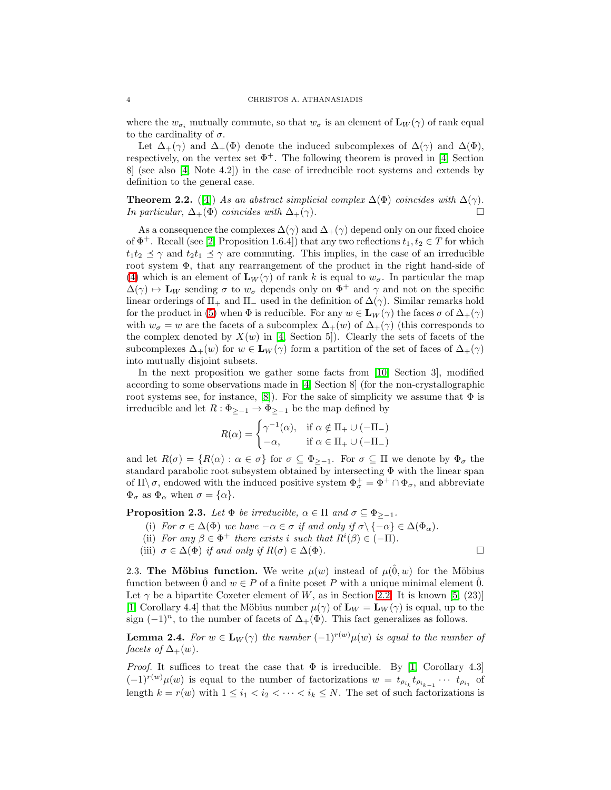where the  $w_{\sigma_i}$  mutually commute, so that  $w_{\sigma}$  is an element of  $\mathbf{L}_W(\gamma)$  of rank equal to the cardinality of  $\sigma$ .

Let  $\Delta_+(\gamma)$  and  $\Delta_+(\Phi)$  denote the induced subcomplexes of  $\Delta(\gamma)$  and  $\Delta(\Phi)$ , respectively, on the vertex set  $\Phi^+$ . The following theorem is proved in [\[4,](#page-6-11) Section 8] (see also [\[4,](#page-6-11) Note 4.2]) in the case of irreducible root systems and extends by definition to the general case.

<span id="page-3-1"></span>**Theorem 2.2.** ([\[4\]](#page-6-11)) As an abstract simplicial complex  $\Delta(\Phi)$  coincides with  $\Delta(\gamma)$ . In particular,  $\Delta_+(\Phi)$  coincides with  $\Delta_+(\gamma)$ .

As a consequence the complexes  $\Delta(\gamma)$  and  $\Delta_+(\gamma)$  depend only on our fixed choice of  $\Phi^+$ . Recall (see [\[2,](#page-6-6) Proposition 1.6.4]) that any two reflections  $t_1, t_2 \in T$  for which  $t_1t_2 \preceq \gamma$  and  $t_2t_1 \preceq \gamma$  are commuting. This implies, in the case of an irreducible root system  $\Phi$ , that any rearrangement of the product in the right hand-side of [\(4\)](#page-2-0) which is an element of  $\mathbf{L}_W(\gamma)$  of rank k is equal to  $w_\sigma$ . In particular the map  $\Delta(\gamma) \mapsto L_W$  sending  $\sigma$  to  $w_{\sigma}$  depends only on  $\Phi^+$  and  $\gamma$  and not on the specific linear orderings of  $\Pi_+$  and  $\Pi_-$  used in the definition of  $\Delta(\gamma)$ . Similar remarks hold for the product in [\(5\)](#page-2-1) when  $\Phi$  is reducible. For any  $w \in L_W(\gamma)$  the faces  $\sigma$  of  $\Delta_+(\gamma)$ with  $w_{\sigma} = w$  are the facets of a subcomplex  $\Delta_{+}(w)$  of  $\Delta_{+}(\gamma)$  (this corresponds to the complex denoted by  $X(w)$  in [\[4,](#page-6-11) Section 5]). Clearly the sets of facets of the subcomplexes  $\Delta_+(w)$  for  $w \in L_W(\gamma)$  form a partition of the set of faces of  $\Delta_+(\gamma)$ into mutually disjoint subsets.

In the next proposition we gather some facts from [\[10,](#page-6-1) Section 3], modified according to some observations made in [\[4,](#page-6-11) Section 8] (for the non-crystallographic root systems see, for instance, [\[8\]](#page-6-5)). For the sake of simplicity we assume that  $\Phi$  is irreducible and let  $R: \Phi_{\geq -1} \to \Phi_{\geq -1}$  be the map defined by

$$
R(\alpha) = \begin{cases} \gamma^{-1}(\alpha), & \text{if } \alpha \notin \Pi_+ \cup (-\Pi_-) \\ -\alpha, & \text{if } \alpha \in \Pi_+ \cup (-\Pi_-) \end{cases}
$$

and let  $R(\sigma) = \{R(\alpha) : \alpha \in \sigma\}$  for  $\sigma \subseteq \Phi_{\geq -1}$ . For  $\sigma \subseteq \Pi$  we denote by  $\Phi_{\sigma}$  the standard parabolic root subsystem obtained by intersecting Φ with the linear span of  $\Pi \backslash \sigma$ , endowed with the induced positive system  $\Phi_{\sigma}^+ = \Phi^+ \cap \Phi_{\sigma}$ , and abbreviate  $\Phi_{\sigma}$  as  $\Phi_{\alpha}$  when  $\sigma = {\alpha}.$ 

<span id="page-3-2"></span>**Proposition 2.3.** Let  $\Phi$  be irreducible,  $\alpha \in \Pi$  and  $\sigma \subseteq \Phi_{\geq -1}$ .

- (i) For  $\sigma \in \Delta(\Phi)$  we have  $-\alpha \in \sigma$  if and only if  $\sigma \setminus \{-\alpha\} \in \Delta(\Phi_\alpha)$ .
- (ii) For any  $\beta \in \Phi^+$  there exists i such that  $R^i(\beta) \in (-\Pi)$ .
- (iii)  $\sigma \in \Delta(\Phi)$  if and only if  $R(\sigma) \in \Delta(\Phi)$ .

2.3. The Möbius function. We write  $\mu(w)$  instead of  $\mu(\hat{0}, w)$  for the Möbius function between  $\hat{0}$  and  $w \in P$  of a finite poset P with a unique minimal element  $\hat{0}$ . Let  $\gamma$  be a bipartite Coxeter element of W, as in Section [2.2.](#page-2-2) It is known [\[5,](#page-6-9) (23)] [\[1,](#page-6-10) Corollary 4.4] that the Möbius number  $\mu(\gamma)$  of  $\mathbf{L}_W = \mathbf{L}_W(\gamma)$  is equal, up to the sign  $(-1)^n$ , to the number of facets of  $\Delta_+(\Phi)$ . This fact generalizes as follows.

<span id="page-3-0"></span>**Lemma 2.4.** For  $w \in L_W(\gamma)$  the number  $(-1)^{r(w)} \mu(w)$  is equal to the number of facets of  $\Delta_+(w)$ .

*Proof.* It suffices to treat the case that  $\Phi$  is irreducible. By [\[1,](#page-6-10) Corollary 4.3]  $(-1)^{r(w)}\mu(w)$  is equal to the number of factorizations  $w = t_{\rho_{i_k}}t_{\rho_{i_{k-1}}}\cdots t_{\rho_{i_1}}$  of length  $k = r(w)$  with  $1 \leq i_1 < i_2 < \cdots < i_k \leq N$ . The set of such factorizations is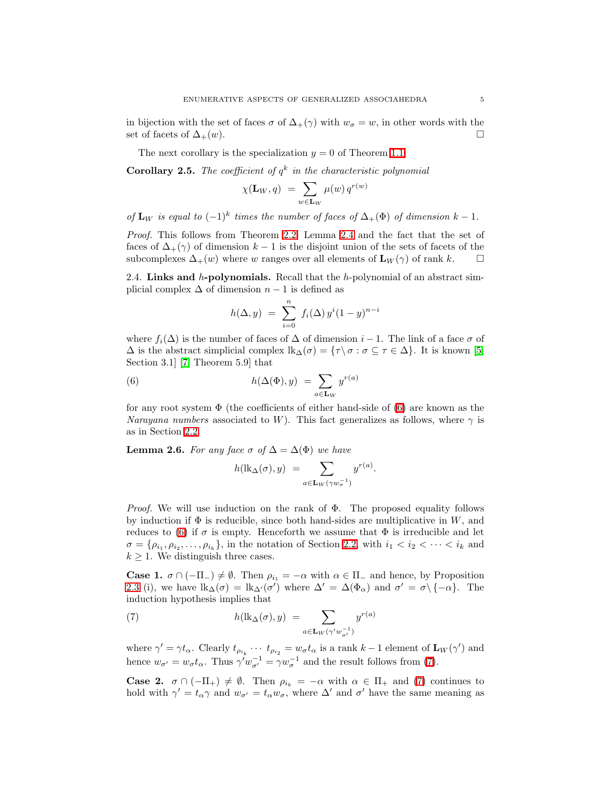in bijection with the set of faces  $\sigma$  of  $\Delta_+(\gamma)$  with  $w_{\sigma} = w$ , in other words with the set of facets of  $\Delta_+(w)$ .

The next corollary is the specialization  $y = 0$  of Theorem [1.1.](#page-1-1)

**Corollary 2.5.** The coefficient of  $q^k$  in the characteristic polynomial

$$
\chi(\mathbf{L}_W, q) = \sum_{w \in \mathbf{L}_W} \mu(w) q^{r(w)}
$$

of  $\mathbf{L}_W$  is equal to  $(-1)^k$  times the number of faces of  $\Delta_+(\Phi)$  of dimension  $k-1$ .

Proof. This follows from Theorem [2.2,](#page-3-1) Lemma [2.4](#page-3-0) and the fact that the set of faces of  $\Delta_+(\gamma)$  of dimension  $k-1$  is the disjoint union of the sets of facets of the subcomplexes  $\Delta_+(w)$  where w ranges over all elements of  $\mathbf{L}_W(\gamma)$  of rank k.  $\square$ 

2.4. Links and  $h$ -polynomials. Recall that the  $h$ -polynomial of an abstract simplicial complex  $\Delta$  of dimension  $n-1$  is defined as

<span id="page-4-1"></span>
$$
h(\Delta, y) = \sum_{i=0}^{n} f_i(\Delta) y^{i} (1 - y)^{n - i}
$$

where  $f_i(\Delta)$  is the number of faces of  $\Delta$  of dimension  $i-1$ . The link of a face  $\sigma$  of  $\Delta$  is the abstract simplicial complex  $\text{lk}_{\Delta}(\sigma) = \{\tau \setminus \sigma : \sigma \subseteq \tau \in \Delta\}$ . It is known [\[5,](#page-6-9) Section 3.1] [\[7,](#page-6-4) Theorem 5.9] that

(6) 
$$
h(\Delta(\Phi), y) = \sum_{a \in \mathbf{L}_W} y^{r(a)}
$$

for any root system  $\Phi$  (the coefficients of either hand-side of [\(6\)](#page-4-1) are known as the Narayana numbers associated to W). This fact generalizes as follows, where  $\gamma$  is as in Section [2.2.](#page-2-2)

<span id="page-4-0"></span>**Lemma 2.6.** For any face  $\sigma$  of  $\Delta = \Delta(\Phi)$  we have

$$
h(\mathrm{lk}_{\Delta}(\sigma), y) = \sum_{a \in \mathbf{L}_W(\gamma w_{\sigma}^{-1})} y^{r(a)}.
$$

*Proof.* We will use induction on the rank of  $\Phi$ . The proposed equality follows by induction if  $\Phi$  is reducible, since both hand-sides are multiplicative in W, and reduces to [\(6\)](#page-4-1) if  $\sigma$  is empty. Henceforth we assume that  $\Phi$  is irreducible and let  $\sigma = {\rho_{i_1, \rho_{i_2}, \ldots, \rho_{i_k}}}$ , in the notation of Section [2.2,](#page-2-2) with  $i_1 < i_2 < \cdots < i_k$  and  $k \geq 1$ . We distinguish three cases.

<span id="page-4-2"></span>**Case 1.**  $\sigma \cap (-\Pi_{-}) \neq \emptyset$ . Then  $\rho_{i_1} = -\alpha$  with  $\alpha \in \Pi_{-}$  and hence, by Proposition [2.3](#page-3-2) (i), we have  $\text{lk}_{\Delta}(\sigma) = \text{lk}_{\Delta}(\sigma')$  where  $\Delta' = \Delta(\Phi_{\alpha})$  and  $\sigma' = \sigma \setminus \{-\alpha\}$ . The induction hypothesis implies that

(7) 
$$
h(\mathrm{lk}_{\Delta}(\sigma), y) = \sum_{a \in \mathbf{L}_W(\gamma' w_{\sigma'}^{-1})} y^{r(a)}
$$

where  $\gamma' = \gamma t_\alpha$ . Clearly  $t_{\rho_{i_k}} \cdots t_{\rho_{i_2}} = w_\sigma t_\alpha$  is a rank  $k-1$  element of  $\mathbf{L}_W(\gamma')$  and hence  $w_{\sigma'} = w_{\sigma} t_{\alpha}$ . Thus  $\gamma' w_{\sigma'}^{-1} = \gamma w_{\sigma}^{-1}$  and the result follows from [\(7\)](#page-4-2).

**Case 2.**  $\sigma \cap (-\Pi_+) \neq \emptyset$ . Then  $\rho_{i_k} = -\alpha$  with  $\alpha \in \Pi_+$  and [\(7\)](#page-4-2) continues to hold with  $\gamma' = t_{\alpha} \gamma$  and  $w_{\sigma'} = t_{\alpha} w_{\sigma}$ , where  $\Delta'$  and  $\sigma'$  have the same meaning as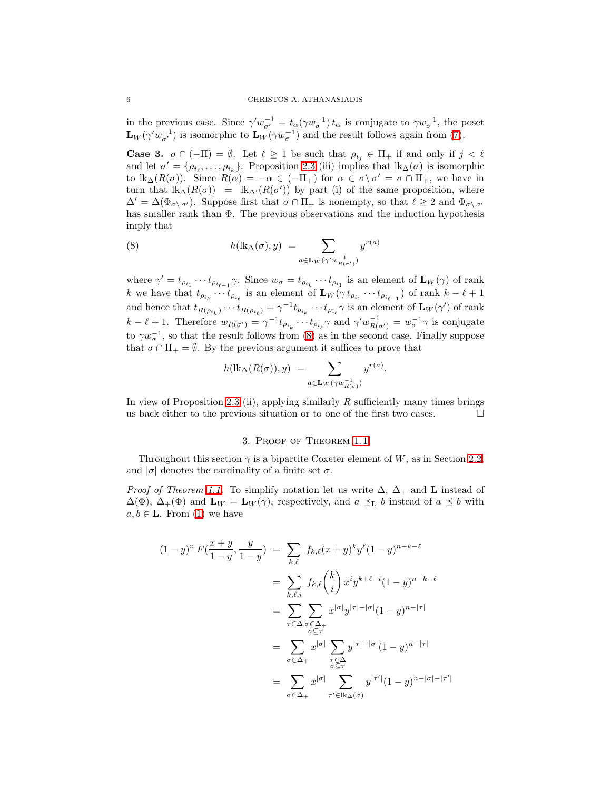in the previous case. Since  $\gamma' w_{\sigma'}^{-1} = t_\alpha(\gamma w_\sigma^{-1}) t_\alpha$  is conjugate to  $\gamma w_\sigma^{-1}$ , the poset  $\mathbf{L}_W(\gamma' w_{\sigma'}^{-1})$  is isomorphic to  $\mathbf{L}_W(\gamma w_{\sigma}^{-1})$  and the result follows again from [\(7\)](#page-4-2).

**Case 3.**  $\sigma \cap (-\Pi) = \emptyset$ . Let  $\ell \geq 1$  be such that  $\rho_{i_j} \in \Pi_+$  if and only if  $j < \ell$ and let  $\sigma' = \{\rho_{i_\ell}, \ldots, \rho_{i_k}\}.$  Proposition [2.3](#page-3-2) (iii) implies that  $lk_{\Delta}(\sigma)$  is isomorphic to  $\text{lk}_{\Delta}(R(\sigma))$ . Since  $R(\alpha) = -\alpha \in (-\Pi_+)$  for  $\alpha \in \sigma \setminus \sigma' = \sigma \cap \Pi_+$ , we have in turn that  $\text{lk}_{\Delta}(R(\sigma)) = \text{lk}_{\Delta'}(R(\sigma'))$  by part (i) of the same proposition, where  $\Delta' = \Delta(\Phi_{\sigma \setminus \sigma'})$ . Suppose first that  $\sigma \cap \Pi_+$  is nonempty, so that  $\ell \geq 2$  and  $\Phi_{\sigma \setminus \sigma'}$ has smaller rank than Φ. The previous observations and the induction hypothesis imply that

<span id="page-5-1"></span>(8) 
$$
h(\mathrm{lk}_{\Delta}(\sigma), y) = \sum_{a \in \mathbf{L}_W(\gamma' w_{R(\sigma')}^{-1})} y^{r(a)}
$$

where  $\gamma' = t_{\rho_{i_1}} \cdots t_{\rho_{i_{\ell-1}}} \gamma$ . Since  $w_{\sigma} = t_{\rho_{i_k}} \cdots t_{\rho_{i_1}}$  is an element of  $\mathbf{L}_W(\gamma)$  of rank k we have that  $t_{\rho_{i_k}} \cdots t_{\rho_{i_\ell}}$  is an element of  $\mathbf{L}_W(\gamma t_{\rho_{i_1}} \cdots t_{\rho_{i_{\ell-1}}})$  of rank  $k-\ell+1$ and hence that  $t_{R(\rho_{i_k})}\cdots t_{R(\rho_{i_\ell})}=\gamma^{-1}t_{\rho_{i_k}}\cdots t_{\rho_{i_\ell}}\gamma$  is an element of  $\mathbf{L}_W(\gamma')$  of rank  $k-\ell+1$ . Therefore  $w_{R(\sigma')} = \gamma^{-1} t_{\rho_{i_k}} \cdots t_{\rho_{i_\ell}} \gamma$  and  $\gamma' w_{R(\sigma')}^{-1} = w_{\sigma}^{-1} \gamma$  is conjugate to  $\gamma w_{\sigma}^{-1}$ , so that the result follows from [\(8\)](#page-5-1) as in the second case. Finally suppose that  $\sigma \cap \Pi_+ = \emptyset$ . By the previous argument it suffices to prove that

$$
h(\mathrm{lk}_{\Delta}(R(\sigma)),y) = \sum_{a \in \mathbf{L}_W(\gamma w_{R(\sigma)}^{-1})} y^{r(a)}.
$$

<span id="page-5-0"></span>In view of Proposition [2.3](#page-3-2) (ii), applying similarly  $R$  sufficiently many times brings us back either to the previous situation or to one of the first two cases.  $\Box$ 

#### 3. Proof of Theorem [1.1](#page-1-1)

Throughout this section  $\gamma$  is a bipartite Coxeter element of W, as in Section [2.2,](#page-2-2) and  $|\sigma|$  denotes the cardinality of a finite set  $\sigma$ .

*Proof of Theorem [1.1.](#page-1-1)* To simplify notation let us write  $\Delta$ ,  $\Delta$ <sub>+</sub> and **L** instead of  $\Delta(\Phi)$ ,  $\Delta_+(\Phi)$  and  $\mathbf{L}_W = \mathbf{L}_W(\gamma)$ , respectively, and  $a \preceq_{\mathbf{L}} b$  instead of  $a \preceq b$  with  $a, b \in L$ . From [\(1\)](#page-0-0) we have

$$
(1-y)^n F(\frac{x+y}{1-y}, \frac{y}{1-y}) = \sum_{k,\ell} f_{k,\ell}(x+y)^k y^{\ell} (1-y)^{n-k-\ell}
$$
  

$$
= \sum_{k,\ell,i} f_{k,\ell} {k \choose i} x^i y^{k+\ell-i} (1-y)^{n-k-\ell}
$$
  

$$
= \sum_{\tau \in \Delta} \sum_{\substack{\sigma \in \Delta_+ \\ \sigma \subseteq \tau}} x^{|\sigma|} y^{|\tau|-|\sigma|} (1-y)^{n-|\tau|}
$$
  

$$
= \sum_{\substack{\sigma \in \Delta_+ \\ \sigma \subseteq \tau}} x^{|\sigma|} \sum_{\substack{\tau \in \Delta_+ \\ \sigma \subseteq \tau}} y^{|\tau|-|\sigma|} (1-y)^{n-|\tau|}
$$
  

$$
= \sum_{\sigma \in \Delta_+} x^{|\sigma|} \sum_{\substack{\tau' \in \mathrm{lk}_{\Delta}(\sigma)}} y^{|\tau'|} (1-y)^{n-|\sigma|-|\tau'}
$$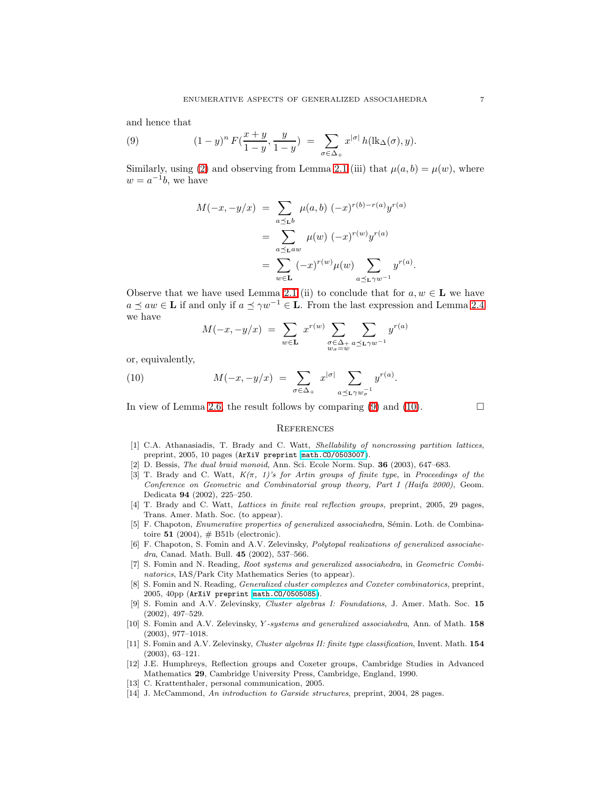<span id="page-6-14"></span>and hence that

(9) 
$$
(1-y)^n F(\frac{x+y}{1-y}, \frac{y}{1-y}) = \sum_{\sigma \in \Delta_+} x^{|\sigma|} h(\mathrm{lk}_{\Delta}(\sigma), y).
$$

Similarly, using [\(2\)](#page-1-2) and observing from Lemma [2.1](#page-1-3) (iii) that  $\mu(a, b) = \mu(w)$ , where  $w = a^{-1}b$ , we have

$$
M(-x, -y/x) = \sum_{a \preceq_b b} \mu(a, b) (-x)^{r(b) - r(a)} y^{r(a)}
$$
  
= 
$$
\sum_{a \preceq_b a w} \mu(w) (-x)^{r(w)} y^{r(a)}
$$
  
= 
$$
\sum_{w \in L} (-x)^{r(w)} \mu(w) \sum_{a \preceq_b \gamma w^{-1}} y^{r(a)}.
$$

Observe that we have used Lemma [2.1](#page-1-3) (ii) to conclude that for  $a, w \in L$  we have  $a \preceq aw \in L$  if and only if  $a \preceq \gamma w^{-1} \in L$ . From the last expression and Lemma [2.4](#page-3-0) we have

$$
M(-x, -y/x) = \sum_{w \in \mathbf{L}} x^{r(w)} \sum_{\substack{\sigma \in \Delta_+ \\ w_{\sigma} = w}} \sum_{a \preceq_{\mathbf{L}} \gamma w^{-1}} y^{r(a)}
$$

<span id="page-6-15"></span>or, equivalently,

(10) 
$$
M(-x,-y/x) = \sum_{\sigma \in \Delta_+} x^{|\sigma|} \sum_{a \preceq_L \gamma w_\sigma^{-1}} y^{r(a)}.
$$

In view of Lemma [2.6,](#page-4-0) the result follows by comparing [\(9\)](#page-6-14) and [\(10\)](#page-6-15).  $\Box$ 

## **REFERENCES**

- <span id="page-6-10"></span>[1] C.A. Athanasiadis, T. Brady and C. Watt, *Shellability of noncrossing partition lattices*, preprint, 2005, 10 pages (ArXiV preprint [math.CO/0503007](http://arxiv.org/abs/math/0503007)).
- <span id="page-6-7"></span><span id="page-6-6"></span>[2] D. Bessis, *The dual braid monoid*, Ann. Sci. Ecole Norm. Sup. 36 (2003), 647–683.
- [3] T. Brady and C. Watt, *K(*π*, 1)'s for Artin groups of finite type*, in *Proceedings of the Conference on Geometric and Combinatorial group theory, Part I (Haifa 2000)*, Geom. Dedicata 94 (2002), 225–250.
- <span id="page-6-11"></span>[4] T. Brady and C. Watt, *Lattices in finite real reflection groups*, preprint, 2005, 29 pages, Trans. Amer. Math. Soc. (to appear).
- <span id="page-6-9"></span>[5] F. Chapoton, *Enumerative properties of generalized associahedra*, Sémin. Loth. de Combinatoire  $51$  (2004),  $\#$  B51b (electronic).
- <span id="page-6-3"></span>[6] F. Chapoton, S. Fomin and A.V. Zelevinsky, *Polytopal realizations of generalized associahedra*, Canad. Math. Bull. 45 (2002), 537–566.
- <span id="page-6-4"></span>[7] S. Fomin and N. Reading, *Root systems and generalized associahedra*, in *Geometric Combinatorics*, IAS/Park City Mathematics Series (to appear).
- <span id="page-6-5"></span>[8] S. Fomin and N. Reading, *Generalized cluster complexes and Coxeter combinatorics*, preprint, 2005, 40pp (ArXiV preprint [math.CO/0505085](http://arxiv.org/abs/math/0505085)).
- <span id="page-6-0"></span>[9] S. Fomin and A.V. Zelevinsky, *Cluster algebras I: Foundations*, J. Amer. Math. Soc. 15 (2002), 497–529.
- <span id="page-6-1"></span>[10] S. Fomin and A.V. Zelevinsky, Y *-systems and generalized associahedra*, Ann. of Math. 158 (2003), 977–1018.
- <span id="page-6-2"></span>[11] S. Fomin and A.V. Zelevinsky, *Cluster algebras II: finite type classification*, Invent. Math. 154 (2003), 63–121.
- <span id="page-6-13"></span>[12] J.E. Humphreys, Reflection groups and Coxeter groups, Cambridge Studies in Advanced Mathematics 29, Cambridge University Press, Cambridge, England, 1990.
- <span id="page-6-12"></span><span id="page-6-8"></span>[13] C. Krattenthaler, personal communication, 2005.
- [14] J. McCammond, *An introduction to Garside structures*, preprint, 2004, 28 pages.